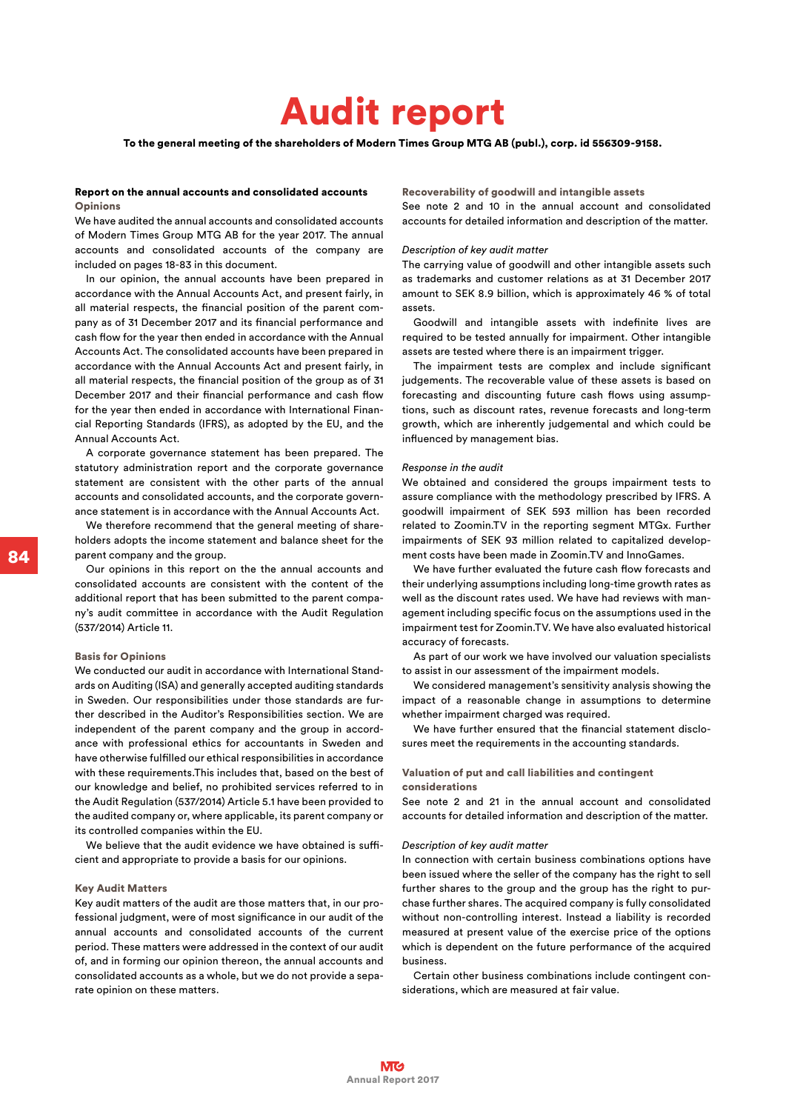# Audit report

To the general meeting of the shareholders of Modern Times Group MTG AB (publ.), corp. id 556309-9158.

# Report on the annual accounts and consolidated accounts **Opinions**

We have audited the annual accounts and consolidated accounts of Modern Times Group MTG AB for the year 2017. The annual accounts and consolidated accounts of the company are included on pages 18-83 in this document.

In our opinion, the annual accounts have been prepared in accordance with the Annual Accounts Act, and present fairly, in all material respects, the financial position of the parent company as of 31 December 2017 and its financial performance and cash flow for the year then ended in accordance with the Annual Accounts Act. The consolidated accounts have been prepared in accordance with the Annual Accounts Act and present fairly, in all material respects, the financial position of the group as of 31 December 2017 and their financial performance and cash flow for the year then ended in accordance with International Financial Reporting Standards (IFRS), as adopted by the EU, and the Annual Accounts Act.

A corporate governance statement has been prepared. The statutory administration report and the corporate governance statement are consistent with the other parts of the annual accounts and consolidated accounts, and the corporate governance statement is in accordance with the Annual Accounts Act.

We therefore recommend that the general meeting of shareholders adopts the income statement and balance sheet for the parent company and the group.

Our opinions in this report on the the annual accounts and consolidated accounts are consistent with the content of the additional report that has been submitted to the parent company's audit committee in accordance with the Audit Regulation (537/2014) Article 11.

# Basis for Opinions

We conducted our audit in accordance with International Standards on Auditing (ISA) and generally accepted auditing standards in Sweden. Our responsibilities under those standards are further described in the Auditor's Responsibilities section. We are independent of the parent company and the group in accordance with professional ethics for accountants in Sweden and have otherwise fulfilled our ethical responsibilities in accordance with these requirements.This includes that, based on the best of our knowledge and belief, no prohibited services referred to in the Audit Regulation (537/2014) Article 5.1 have been provided to the audited company or, where applicable, its parent company or its controlled companies within the EU.

We believe that the audit evidence we have obtained is sufficient and appropriate to provide a basis for our opinions.

# Key Audit Matters

Key audit matters of the audit are those matters that, in our professional judgment, were of most significance in our audit of the annual accounts and consolidated accounts of the current period. These matters were addressed in the context of our audit of, and in forming our opinion thereon, the annual accounts and consolidated accounts as a whole, but we do not provide a separate opinion on these matters.

#### Recoverability of goodwill and intangible assets

See note 2 and 10 in the annual account and consolidated accounts for detailed information and description of the matter.

# *Description of key audit matter*

The carrying value of goodwill and other intangible assets such as trademarks and customer relations as at 31 December 2017 amount to SEK 8.9 billion, which is approximately 46 % of total assets.

Goodwill and intangible assets with indefinite lives are required to be tested annually for impairment. Other intangible assets are tested where there is an impairment trigger.

The impairment tests are complex and include significant judgements. The recoverable value of these assets is based on forecasting and discounting future cash flows using assumptions, such as discount rates, revenue forecasts and long-term growth, which are inherently judgemental and which could be influenced by management bias.

#### *Response in the audit*

We obtained and considered the groups impairment tests to assure compliance with the methodology prescribed by IFRS. A goodwill impairment of SEK 593 million has been recorded related to Zoomin.TV in the reporting segment MTGx. Further impairments of SEK 93 million related to capitalized development costs have been made in Zoomin.TV and InnoGames.

We have further evaluated the future cash flow forecasts and their underlying assumptions including long-time growth rates as well as the discount rates used. We have had reviews with management including specific focus on the assumptions used in the impairment test for Zoomin.TV. We have also evaluated historical accuracy of forecasts.

As part of our work we have involved our valuation specialists to assist in our assessment of the impairment models.

We considered management's sensitivity analysis showing the impact of a reasonable change in assumptions to determine whether impairment charged was required.

We have further ensured that the financial statement disclosures meet the requirements in the accounting standards.

### Valuation of put and call liabilities and contingent considerations

See note 2 and 21 in the annual account and consolidated accounts for detailed information and description of the matter.

#### *Description of key audit matter*

In connection with certain business combinations options have been issued where the seller of the company has the right to sell further shares to the group and the group has the right to purchase further shares. The acquired company is fully consolidated without non-controlling interest. Instead a liability is recorded measured at present value of the exercise price of the options which is dependent on the future performance of the acquired business.

Certain other business combinations include contingent considerations, which are measured at fair value.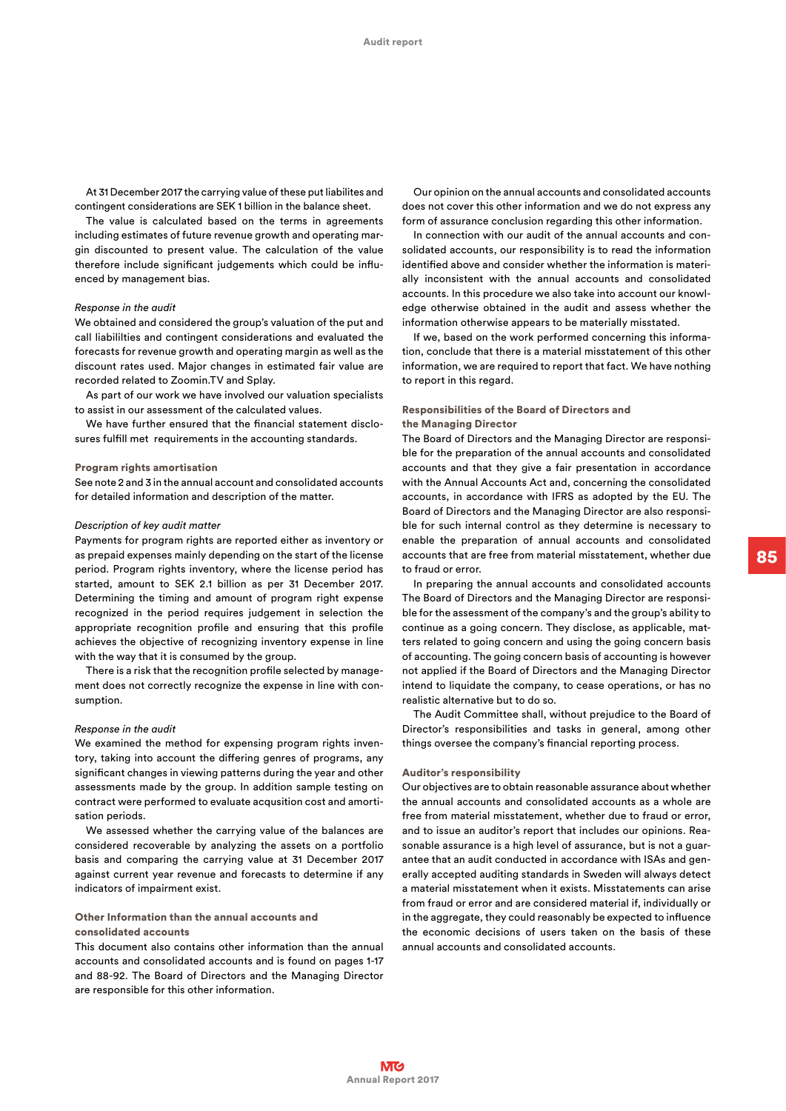At 31 December 2017 the carrying value of these put liabilites and contingent considerations are SEK 1 billion in the balance sheet.

The value is calculated based on the terms in agreements including estimates of future revenue growth and operating margin discounted to present value. The calculation of the value therefore include significant judgements which could be influenced by management bias.

## *Response in the audit*

We obtained and considered the group's valuation of the put and call liabililties and contingent considerations and evaluated the forecasts for revenue growth and operating margin as well as the discount rates used. Major changes in estimated fair value are recorded related to Zoomin.TV and Splay.

As part of our work we have involved our valuation specialists to assist in our assessment of the calculated values.

We have further ensured that the financial statement disclosures fulfill met requirements in the accounting standards.

# Program rights amortisation

See note 2 and 3 in the annual account and consolidated accounts for detailed information and description of the matter.

## *Description of key audit matter*

Payments for program rights are reported either as inventory or as prepaid expenses mainly depending on the start of the license period. Program rights inventory, where the license period has started, amount to SEK 2.1 billion as per 31 December 2017. Determining the timing and amount of program right expense recognized in the period requires judgement in selection the appropriate recognition profile and ensuring that this profile achieves the objective of recognizing inventory expense in line with the way that it is consumed by the group.

There is a risk that the recognition profile selected by management does not correctly recognize the expense in line with consumption.

## *Response in the audit*

We examined the method for expensing program rights inventory, taking into account the differing genres of programs, any significant changes in viewing patterns during the year and other assessments made by the group. In addition sample testing on contract were performed to evaluate acqusition cost and amortisation periods.

We assessed whether the carrying value of the balances are considered recoverable by analyzing the assets on a portfolio basis and comparing the carrying value at 31 December 2017 against current year revenue and forecasts to determine if any indicators of impairment exist.

# Other Information than the annual accounts and consolidated accounts

This document also contains other information than the annual accounts and consolidated accounts and is found on pages 1-17 and 88-92. The Board of Directors and the Managing Director are responsible for this other information.

Our opinion on the annual accounts and consolidated accounts does not cover this other information and we do not express any form of assurance conclusion regarding this other information.

In connection with our audit of the annual accounts and consolidated accounts, our responsibility is to read the information identified above and consider whether the information is materially inconsistent with the annual accounts and consolidated accounts. In this procedure we also take into account our knowledge otherwise obtained in the audit and assess whether the information otherwise appears to be materially misstated.

If we, based on the work performed concerning this information, conclude that there is a material misstatement of this other information, we are required to report that fact. We have nothing to report in this regard.

# Responsibilities of the Board of Directors and the Managing Director

The Board of Directors and the Managing Director are responsible for the preparation of the annual accounts and consolidated accounts and that they give a fair presentation in accordance with the Annual Accounts Act and, concerning the consolidated accounts, in accordance with IFRS as adopted by the EU. The Board of Directors and the Managing Director are also responsible for such internal control as they determine is necessary to enable the preparation of annual accounts and consolidated accounts that are free from material misstatement, whether due to fraud or error.

In preparing the annual accounts and consolidated accounts The Board of Directors and the Managing Director are responsible for the assessment of the company's and the group's ability to continue as a going concern. They disclose, as applicable, matters related to going concern and using the going concern basis of accounting. The going concern basis of accounting is however not applied if the Board of Directors and the Managing Director intend to liquidate the company, to cease operations, or has no realistic alternative but to do so.

The Audit Committee shall, without prejudice to the Board of Director's responsibilities and tasks in general, among other things oversee the company's financial reporting process.

#### Auditor's responsibility

Our objectives are to obtain reasonable assurance about whether the annual accounts and consolidated accounts as a whole are free from material misstatement, whether due to fraud or error, and to issue an auditor's report that includes our opinions. Reasonable assurance is a high level of assurance, but is not a guarantee that an audit conducted in accordance with ISAs and generally accepted auditing standards in Sweden will always detect a material misstatement when it exists. Misstatements can arise from fraud or error and are considered material if, individually or in the aggregate, they could reasonably be expected to influence the economic decisions of users taken on the basis of these annual accounts and consolidated accounts.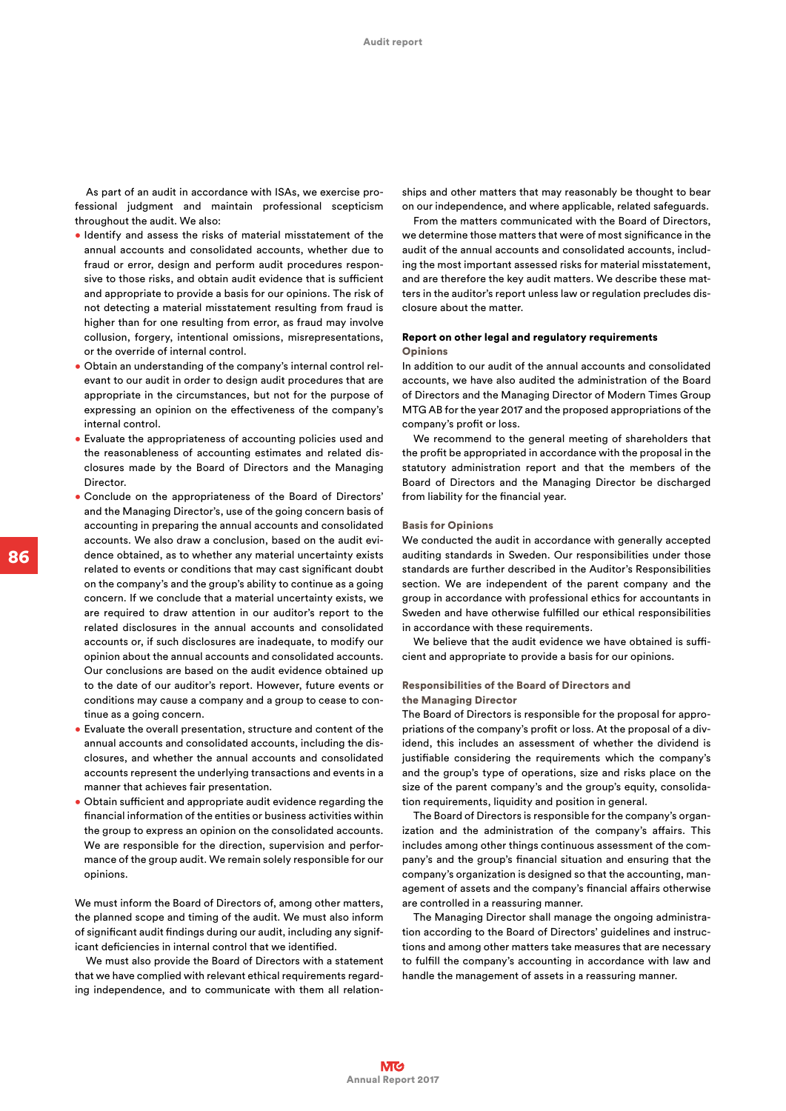As part of an audit in accordance with ISAs, we exercise professional judgment and maintain professional scepticism throughout the audit. We also:

- Identify and assess the risks of material misstatement of the annual accounts and consolidated accounts, whether due to fraud or error, design and perform audit procedures responsive to those risks, and obtain audit evidence that is sufficient and appropriate to provide a basis for our opinions. The risk of not detecting a material misstatement resulting from fraud is higher than for one resulting from error, as fraud may involve collusion, forgery, intentional omissions, misrepresentations, or the override of internal control.
- Obtain an understanding of the company's internal control relevant to our audit in order to design audit procedures that are appropriate in the circumstances, but not for the purpose of expressing an opinion on the effectiveness of the company's internal control.
- Evaluate the appropriateness of accounting policies used and the reasonableness of accounting estimates and related disclosures made by the Board of Directors and the Managing Director.
- Conclude on the appropriateness of the Board of Directors' and the Managing Director's, use of the going concern basis of accounting in preparing the annual accounts and consolidated accounts. We also draw a conclusion, based on the audit evidence obtained, as to whether any material uncertainty exists related to events or conditions that may cast significant doubt on the company's and the group's ability to continue as a going concern. If we conclude that a material uncertainty exists, we are required to draw attention in our auditor's report to the related disclosures in the annual accounts and consolidated accounts or, if such disclosures are inadequate, to modify our opinion about the annual accounts and consolidated accounts. Our conclusions are based on the audit evidence obtained up to the date of our auditor's report. However, future events or conditions may cause a company and a group to cease to continue as a going concern.
- Evaluate the overall presentation, structure and content of the annual accounts and consolidated accounts, including the disclosures, and whether the annual accounts and consolidated accounts represent the underlying transactions and events in a manner that achieves fair presentation.
- Obtain sufficient and appropriate audit evidence regarding the financial information of the entities or business activities within the group to express an opinion on the consolidated accounts. We are responsible for the direction, supervision and performance of the group audit. We remain solely responsible for our opinions.

We must inform the Board of Directors of, among other matters, the planned scope and timing of the audit. We must also inform of significant audit findings during our audit, including any significant deficiencies in internal control that we identified.

We must also provide the Board of Directors with a statement that we have complied with relevant ethical requirements regarding independence, and to communicate with them all relation-

ships and other matters that may reasonably be thought to bear on our independence, and where applicable, related safeguards.

From the matters communicated with the Board of Directors, we determine those matters that were of most significance in the audit of the annual accounts and consolidated accounts, including the most important assessed risks for material misstatement, and are therefore the key audit matters. We describe these matters in the auditor's report unless law or regulation precludes disclosure about the matter.

# Report on other legal and regulatory requirements **Opinions**

In addition to our audit of the annual accounts and consolidated accounts, we have also audited the administration of the Board of Directors and the Managing Director of Modern Times Group MTG AB for the year 2017 and the proposed appropriations of the company's profit or loss.

We recommend to the general meeting of shareholders that the profit be appropriated in accordance with the proposal in the statutory administration report and that the members of the Board of Directors and the Managing Director be discharged from liability for the financial year.

#### Basis for Opinions

We conducted the audit in accordance with generally accepted auditing standards in Sweden. Our responsibilities under those standards are further described in the Auditor's Responsibilities section. We are independent of the parent company and the group in accordance with professional ethics for accountants in Sweden and have otherwise fulfilled our ethical responsibilities in accordance with these requirements.

We believe that the audit evidence we have obtained is sufficient and appropriate to provide a basis for our opinions.

# Responsibilities of the Board of Directors and the Managing Director

The Board of Directors is responsible for the proposal for appropriations of the company's profit or loss. At the proposal of a dividend, this includes an assessment of whether the dividend is justifiable considering the requirements which the company's and the group's type of operations, size and risks place on the size of the parent company's and the group's equity, consolidation requirements, liquidity and position in general.

The Board of Directors is responsible for the company's organization and the administration of the company's affairs. This includes among other things continuous assessment of the company's and the group's financial situation and ensuring that the company's organization is designed so that the accounting, management of assets and the company's financial affairs otherwise are controlled in a reassuring manner.

The Managing Director shall manage the ongoing administration according to the Board of Directors' guidelines and instructions and among other matters take measures that are necessary to fulfill the company's accounting in accordance with law and handle the management of assets in a reassuring manner.